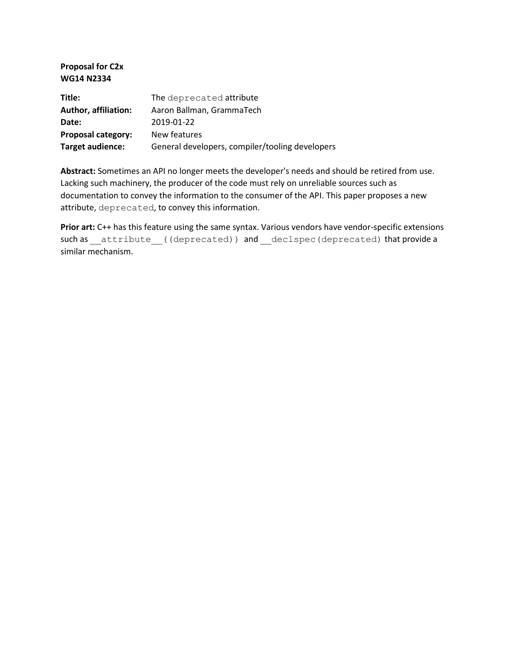**Proposal for C2x WG14 N2334**

| Title:                      | The deprecated attribute                        |
|-----------------------------|-------------------------------------------------|
| <b>Author, affiliation:</b> | Aaron Ballman, GrammaTech                       |
| Date:                       | 2019-01-22                                      |
| Proposal category:          | New features                                    |
| Target audience:            | General developers, compiler/tooling developers |

**Abstract:** Sometimes an API no longer meets the developer's needs and should be retired from use. Lacking such machinery, the producer of the code must rely on unreliable sources such as documentation to convey the information to the consumer of the API. This paper proposes a new attribute, deprecated, to convey this information.

Prior art: C++ has this feature using the same syntax. Various vendors have vendor-specific extensions such as \_\_attribute ((deprecated)) and \_\_declspec(deprecated) that provide a similar mechanism.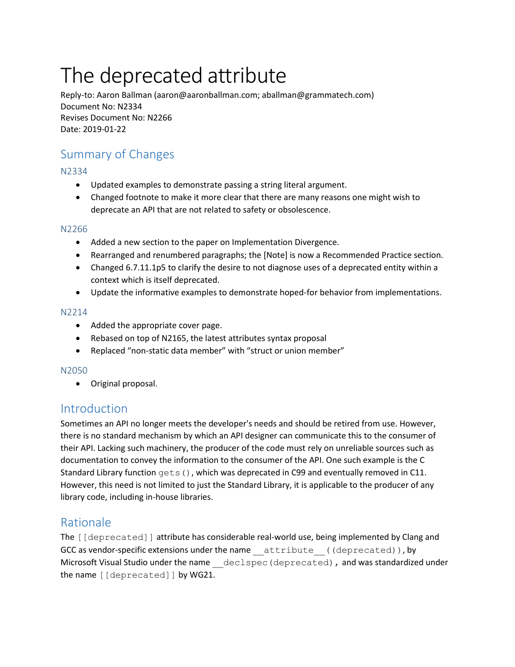# The deprecated attribute

Reply-to: Aaron Ballman (aaron@aaronballman.com; aballman@grammatech.com) Document No: N2334 Revises Document No: N2266 Date: 2019-01-22

# Summary of Changes

## N2334

- Updated examples to demonstrate passing a string literal argument.
- Changed footnote to make it more clear that there are many reasons one might wish to deprecate an API that are not related to safety or obsolescence.

#### N2266

- Added a new section to the paper on Implementation Divergence.
- Rearranged and renumbered paragraphs; the [Note] is now a Recommended Practice section.
- Changed 6.7.11.1p5 to clarify the desire to not diagnose uses of a deprecated entity within a context which is itself deprecated.
- Update the informative examples to demonstrate hoped-for behavior from implementations.

#### N2214

- Added the appropriate cover page.
- Rebased on top of N2165, the latest attributes syntax proposal
- Replaced "non-static data member" with "struct or union member"

#### N2050

• Original proposal.

## Introduction

Sometimes an API no longer meets the developer's needs and should be retired from use. However, there is no standard mechanism by which an API designer can communicate this to the consumer of their API. Lacking such machinery, the producer of the code must rely on unreliable sources such as documentation to convey the information to the consumer of the API. One such example is the C Standard Library function gets(), which was deprecated in C99 and eventually removed in C11. However, this need is not limited to just the Standard Library, it is applicable to the producer of any library code, including in-house libraries.

# Rationale

The [[deprecated]] attribute has considerable real-world use, being implemented by Clang and GCC as vendor-specific extensions under the name attribute ((deprecated)), by Microsoft Visual Studio under the name declspec (deprecated), and was standardized under the name [[deprecated]] by WG21.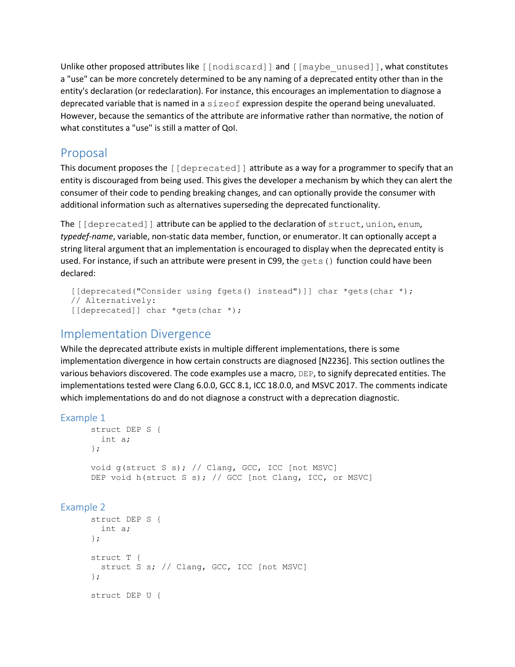Unlike other proposed attributes like [[nodiscard]] and [[maybe\_unused]], what constitutes a "use" can be more concretely determined to be any naming of a deprecated entity other than in the entity's declaration (or redeclaration). For instance, this encourages an implementation to diagnose a deprecated variable that is named in a sizeof expression despite the operand being unevaluated. However, because the semantics of the attribute are informative rather than normative, the notion of what constitutes a "use" is still a matter of QoI.

# Proposal

This document proposes the  $\lceil$  [deprecated]] attribute as a way for a programmer to specify that an entity is discouraged from being used. This gives the developer a mechanism by which they can alert the consumer of their code to pending breaking changes, and can optionally provide the consumer with additional information such as alternatives superseding the deprecated functionality.

The [[deprecated]] attribute can be applied to the declaration of struct, union, enum, *typedef-name*, variable, non-static data member, function, or enumerator. It can optionally accept a string literal argument that an implementation is encouraged to display when the deprecated entity is used. For instance, if such an attribute were present in C99, the gets() function could have been declared:

```
 [[deprecated("Consider using fgets() instead")]] char *gets(char *);
 // Alternatively:
 [[deprecated]] char *gets(char *);
```
# Implementation Divergence

While the deprecated attribute exists in multiple different implementations, there is some implementation divergence in how certain constructs are diagnosed [N2236]. This section outlines the various behaviors discovered. The code examples use a macro, DEP, to signify deprecated entities. The implementations tested were Clang 6.0.0, GCC 8.1, ICC 18.0.0, and MSVC 2017. The comments indicate which implementations do and do not diagnose a construct with a deprecation diagnostic.

## Example 1

```
struct DEP S {
  int a;
};
void g(struct S s); // Clang, GCC, ICC [not MSVC]
DEP void h(struct S s); // GCC [not Clang, ICC, or MSVC]
```
## Example 2

```
struct DEP S {
  int a;
};
struct T {
 struct S s; // Clang, GCC, ICC [not MSVC]
};
struct DEP U {
```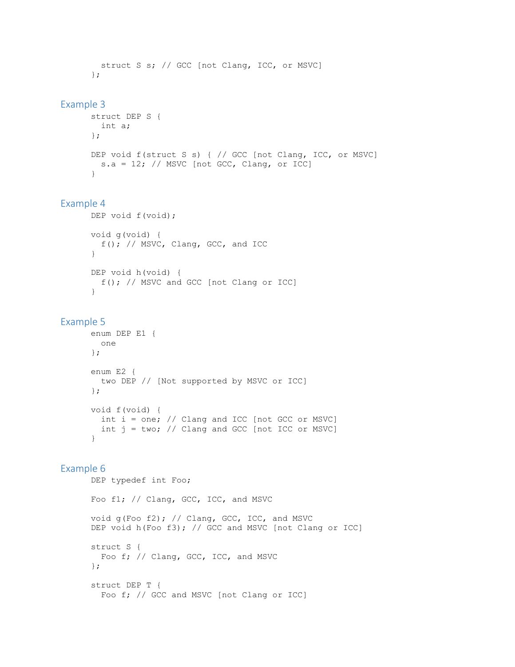```
struct S s; // GCC [not Clang, ICC, or MSVC]
};
```
#### Example 3

```
struct DEP S {
  int a;
};
DEP void f(struct S s) { // GCC [not Clang, ICC, or MSVC]
 s.a = 12; // MSVC [not GCC, Clang, or ICC]}
```
## Example 4

```
DEP void f(void);
void g(void) {
 f(); // MSVC, Clang, GCC, and ICC
}
DEP void h(void) {
  f(); // MSVC and GCC [not Clang or ICC]
}
```
#### Example 5

```
enum DEP E1 {
  one
};
enum E2 {
  two DEP // [Not supported by MSVC or ICC]
};
void f(void) {
  int i = one; // Clang and ICC [not GCC or MSVC]
 int j = two; // Clang and GCC [not ICC or MSVC]
}
```
## Example 6

```
DEP typedef int Foo;
Foo f1; // Clang, GCC, ICC, and MSVC
void g(Foo f2); // Clang, GCC, ICC, and MSVC
DEP void h(Foo f3); // GCC and MSVC [not Clang or ICC]
struct S {
 Foo f; // Clang, GCC, ICC, and MSVC
};
struct DEP T {
   Foo f; // GCC and MSVC [not Clang or ICC]
```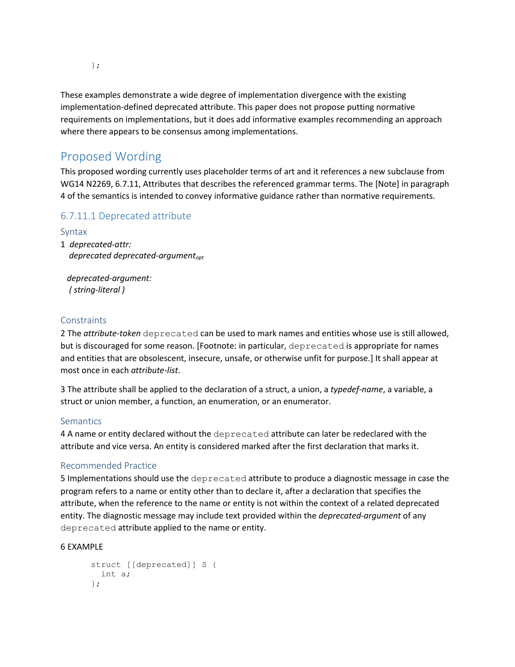These examples demonstrate a wide degree of implementation divergence with the existing implementation-defined deprecated attribute. This paper does not propose putting normative requirements on implementations, but it does add informative examples recommending an approach where there appears to be consensus among implementations.

# Proposed Wording

This proposed wording currently uses placeholder terms of art and it references a new subclause from WG14 N2269, 6.7.11, Attributes that describes the referenced grammar terms. The [Note] in paragraph 4 of the semantics is intended to convey informative guidance rather than normative requirements.

## 6.7.11.1 Deprecated attribute

## Syntax

1 *deprecated-attr: deprecated deprecated-argumentopt*

 *deprecated-argument: ( string-literal )*

## **Constraints**

2 The *attribute-token* deprecated can be used to mark names and entities whose use is still allowed, but is discouraged for some reason. [Footnote: in particular, deprecated is appropriate for names and entities that are obsolescent, insecure, unsafe, or otherwise unfit for purpose.] It shall appear at most once in each *attribute-list*.

3 The attribute shall be applied to the declaration of a struct, a union, a *typedef-name*, a variable, a struct or union member, a function, an enumeration, or an enumerator.

## **Semantics**

4 A name or entity declared without the deprecated attribute can later be redeclared with the attribute and vice versa. An entity is considered marked after the first declaration that marks it.

## Recommended Practice

5 Implementations should use the deprecated attribute to produce a diagnostic message in case the program refers to a name or entity other than to declare it, after a declaration that specifies the attribute, when the reference to the name or entity is not within the context of a related deprecated entity. The diagnostic message may include text provided within the *deprecated-argument* of any deprecated attribute applied to the name or entity.

#### 6 EXAMPLE

```
struct [[deprecated]] S {
 int a;
};
```